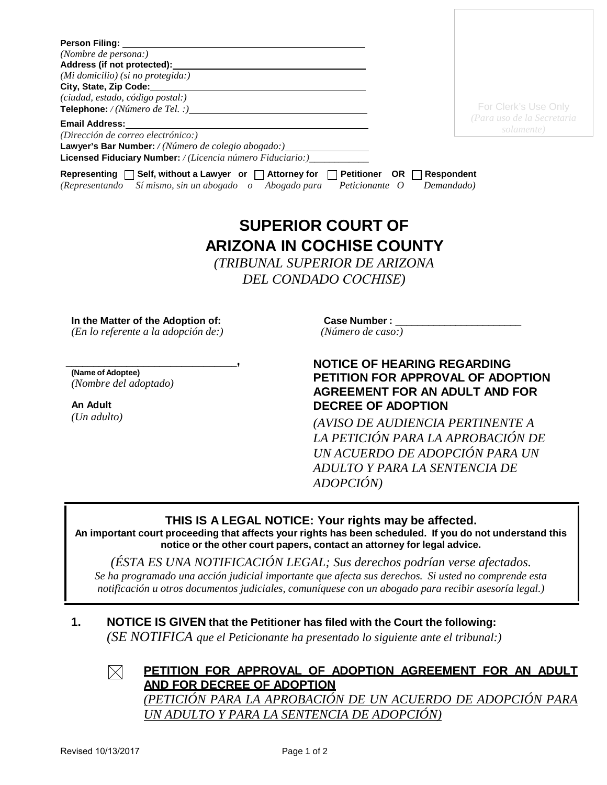| <b>Person Filing:</b>                                                                                                                        |                                                     |                            |
|----------------------------------------------------------------------------------------------------------------------------------------------|-----------------------------------------------------|----------------------------|
| (Nombre de persona:)                                                                                                                         |                                                     |                            |
| Address (if not protected):                                                                                                                  |                                                     |                            |
| (Mi domicilio) (si no protegida:)                                                                                                            |                                                     |                            |
| City, State, Zip Code:                                                                                                                       |                                                     |                            |
| (ciudad, estado, código postal:)                                                                                                             |                                                     |                            |
| <b>Telephone:</b> / (Número de Tel. :)                                                                                                       |                                                     | For Clerk's Use Only       |
| <b>Email Address:</b>                                                                                                                        |                                                     | (Para uso de la Secretaria |
| (Dirección de correo electrónico:)                                                                                                           |                                                     | solamente)                 |
| Lawyer's Bar Number: / (Número de colegio abogado:)_____________________________                                                             |                                                     |                            |
| Licensed Fiduciary Number: / (Licencia número Fiduciario:)____                                                                               |                                                     |                            |
| Representing $\Box$ Self, without a Lawyer or $\Box$ Attorney for $\Box$ Petitioner<br>(Representando Símismo, sin un abogado o Abogado para | OR IT<br>Respondent<br>Peticionante O<br>Demandado) |                            |

# **SUPERIOR COURT OF ARIZONA IN COCHISE COUNTY**

*(TRIBUNAL SUPERIOR DE ARIZONA DEL CONDADO COCHISE)*

**In the Matter of the Adoption of:** 

 *(En lo referente a la adopción de:)* 

\_\_\_\_\_\_\_\_\_\_\_\_\_\_\_\_\_\_\_\_\_\_\_\_\_\_\_\_\_\_\_**, (Name of Adoptee)** *(Nombre del adoptado)* 

**An Adult** *(Un adulto)*

 **Case Number :** \_\_\_\_\_\_\_\_\_\_\_\_\_\_\_\_\_\_\_\_\_\_\_  *(Número de caso:)*

### **NOTICE OF HEARING REGARDING PETITION FOR APPROVAL OF ADOPTION AGREEMENT FOR AN ADULT AND FOR DECREE OF ADOPTION**

*(AVISO DE AUDIENCIA PERTINENTE A LA PETICIÓN PARA LA APROBACIÓN DE UN ACUERDO DE ADOPCIÓN PARA UN ADULTO Y PARA LA SENTENCIA DE ADOPCIÓN)*

### **THIS IS A LEGAL NOTICE: Your rights may be affected.**

**An important court proceeding that affects your rights has been scheduled. If you do not understand this notice or the other court papers, contact an attorney for legal advice.**

*(ÉSTA ES UNA NOTIFICACIÓN LEGAL; Sus derechos podrían verse afectados. Se ha programado una acción judicial importante que afecta sus derechos. Si usted no comprende esta notificación u otros documentos judiciales, comuníquese con un abogado para recibir asesoría legal.)* 

## **1. NOTICE IS GIVEN that the Petitioner has filed with the Court the following:**

*(SE NOTIFICA que el Peticionante ha presentado lo siguiente ante el tribunal:)*



#### **PETITION FOR APPROVAL OF ADOPTION AGREEMENT FOR AN ADULT AND FOR DECREE OF ADOPTION**

*(PETICIÓN PARA LA APROBACIÓN DE UN ACUERDO DE ADOPCIÓN PARA UN ADULTO Y PARA LA SENTENCIA DE ADOPCIÓN)*